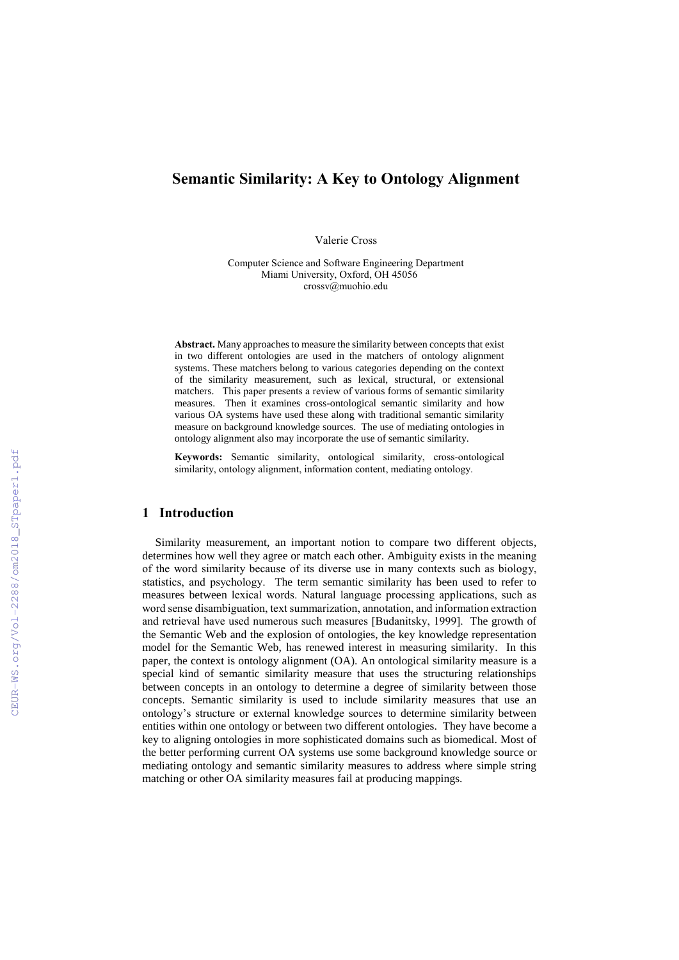# **Semantic Similarity: A Key to Ontology Alignment**

Valerie Cross

Computer Science and Software Engineering Department Miami University, Oxford, OH 45056 crossv@muohio.edu

**Abstract.** Many approaches to measure the similarity between concepts that exist in two different ontologies are used in the matchers of ontology alignment systems. These matchers belong to various categories depending on the context of the similarity measurement, such as lexical, structural, or extensional matchers. This paper presents a review of various forms of semantic similarity measures. Then it examines cross-ontological semantic similarity and how various OA systems have used these along with traditional semantic similarity measure on background knowledge sources. The use of mediating ontologies in ontology alignment also may incorporate the use of semantic similarity.

**Keywords:** Semantic similarity, ontological similarity, cross-ontological similarity, ontology alignment, information content, mediating ontology.

### **1 Introduction**

Similarity measurement, an important notion to compare two different objects, determines how well they agree or match each other. Ambiguity exists in the meaning of the word similarity because of its diverse use in many contexts such as biology, statistics, and psychology. The term semantic similarity has been used to refer to measures between lexical words. Natural language processing applications, such as word sense disambiguation, text summarization, annotation, and information extraction and retrieval have used numerous such measures [Budanitsky, 1999]. The growth of the Semantic Web and the explosion of ontologies, the key knowledge representation model for the Semantic Web, has renewed interest in measuring similarity. In this paper, the context is ontology alignment (OA). An ontological similarity measure is a special kind of semantic similarity measure that uses the structuring relationships between concepts in an ontology to determine a degree of similarity between those concepts. Semantic similarity is used to include similarity measures that use an ontology's structure or external knowledge sources to determine similarity between entities within one ontology or between two different ontologies. They have become a key to aligning ontologies in more sophisticated domains such as biomedical. Most of the better performing current OA systems use some background knowledge source or mediating ontology and semantic similarity measures to address where simple string matching or other OA similarity measures fail at producing mappings.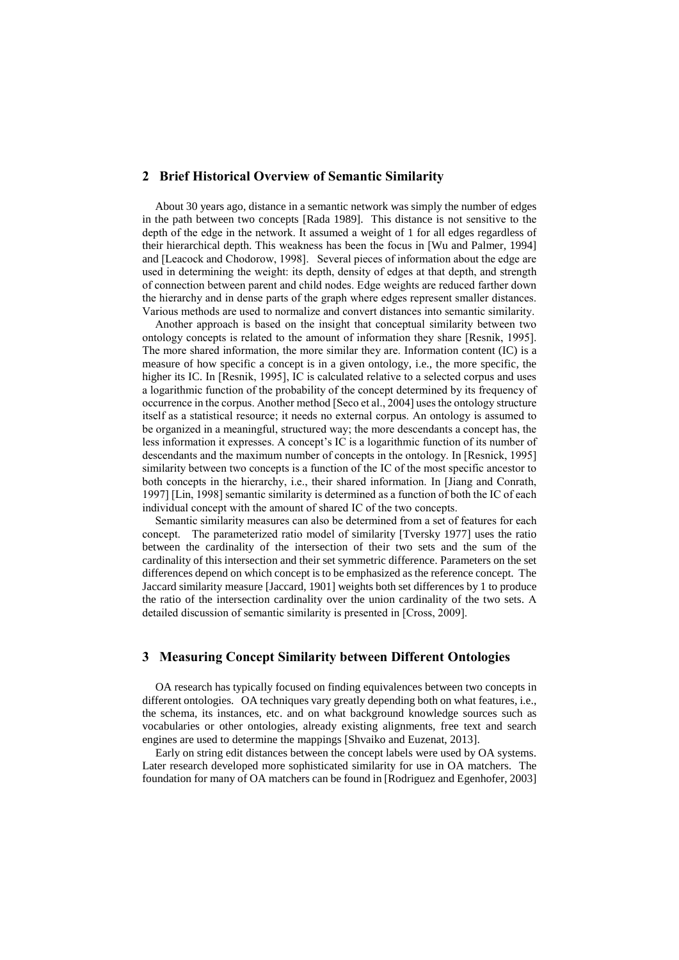#### **2 Brief Historical Overview of Semantic Similarity**

About 30 years ago, distance in a semantic network was simply the number of edges in the path between two concepts [Rada 1989]. This distance is not sensitive to the depth of the edge in the network. It assumed a weight of 1 for all edges regardless of their hierarchical depth. This weakness has been the focus in [Wu and Palmer, 1994] and [Leacock and Chodorow, 1998]. Several pieces of information about the edge are used in determining the weight: its depth, density of edges at that depth, and strength of connection between parent and child nodes. Edge weights are reduced farther down the hierarchy and in dense parts of the graph where edges represent smaller distances. Various methods are used to normalize and convert distances into semantic similarity.

Another approach is based on the insight that conceptual similarity between two ontology concepts is related to the amount of information they share [Resnik, 1995]. The more shared information, the more similar they are. Information content (IC) is a measure of how specific a concept is in a given ontology, i.e., the more specific, the higher its IC. In [Resnik, 1995], IC is calculated relative to a selected corpus and uses a logarithmic function of the probability of the concept determined by its frequency of occurrence in the corpus. Another method [Seco et al., 2004] uses the ontology structure itself as a statistical resource; it needs no external corpus. An ontology is assumed to be organized in a meaningful, structured way; the more descendants a concept has, the less information it expresses. A concept's IC is a logarithmic function of its number of descendants and the maximum number of concepts in the ontology. In [Resnick, 1995] similarity between two concepts is a function of the IC of the most specific ancestor to both concepts in the hierarchy, i.e., their shared information. In [Jiang and Conrath, 1997] [Lin, 1998] semantic similarity is determined as a function of both the IC of each individual concept with the amount of shared IC of the two concepts.

Semantic similarity measures can also be determined from a set of features for each concept. The parameterized ratio model of similarity [Tversky 1977] uses the ratio between the cardinality of the intersection of their two sets and the sum of the cardinality of this intersection and their set symmetric difference. Parameters on the set differences depend on which concept is to be emphasized as the reference concept. The Jaccard similarity measure [Jaccard, 1901] weights both set differences by 1 to produce the ratio of the intersection cardinality over the union cardinality of the two sets. A detailed discussion of semantic similarity is presented in [Cross, 2009].

## **3 Measuring Concept Similarity between Different Ontologies**

OA research has typically focused on finding equivalences between two concepts in different ontologies. OA techniques vary greatly depending both on what features, i.e., the schema, its instances, etc. and on what background knowledge sources such as vocabularies or other ontologies, already existing alignments, free text and search engines are used to determine the mappings [Shvaiko and Euzenat, 2013].

Early on string edit distances between the concept labels were used by OA systems. Later research developed more sophisticated similarity for use in OA matchers. The foundation for many of OA matchers can be found in [Rodriguez and Egenhofer, 2003]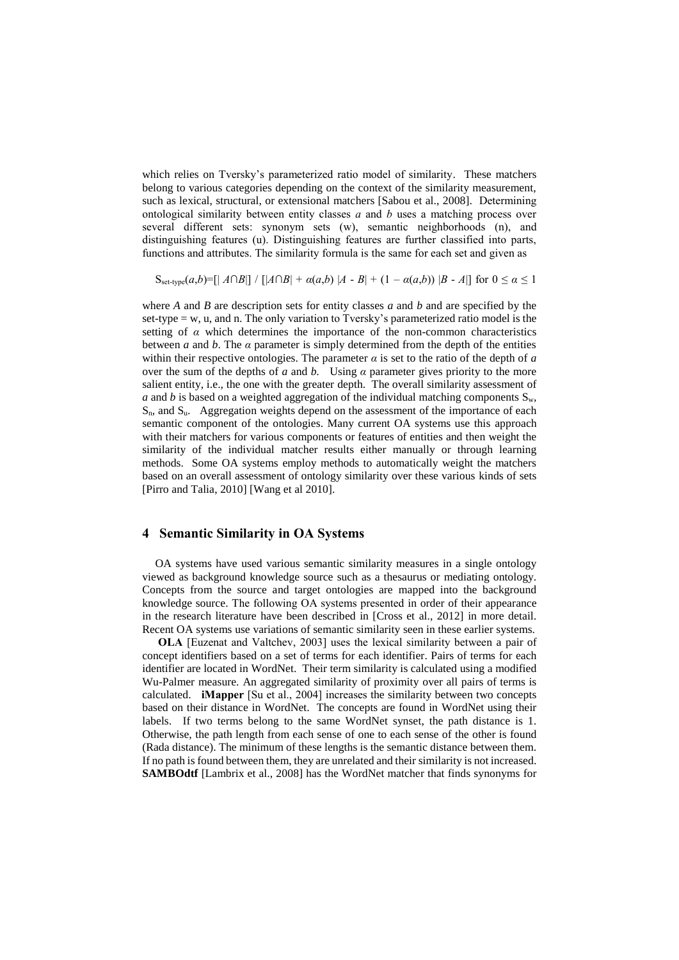which relies on Tversky's parameterized ratio model of similarity. These matchers belong to various categories depending on the context of the similarity measurement, such as lexical, structural, or extensional matchers [Sabou et al., 2008]. Determining ontological similarity between entity classes *a* and *b* uses a matching process over several different sets: synonym sets (w), semantic neighborhoods (n), and distinguishing features (u). Distinguishing features are further classified into parts, functions and attributes. The similarity formula is the same for each set and given as

S<sub>set-type</sub> $(a,b)$ =[|  $A \cap B$ |] / [ $|A \cap B|$  +  $a(a,b)$  | $A - B|$  +  $(1 - a(a,b))$  | $B - A|$ ] for  $0 \le a \le 1$ 

where *A* and *B* are description sets for entity classes *a* and *b* and are specified by the set-type = w, u, and n. The only variation to Tversky's parameterized ratio model is the setting of  $\alpha$  which determines the importance of the non-common characteristics between *a* and *b*. The  $\alpha$  parameter is simply determined from the depth of the entities within their respective ontologies. The parameter  $\alpha$  is set to the ratio of the depth of  $\alpha$ over the sum of the depths of *a* and *b.* Using *α* parameter gives priority to the more salient entity, i.e., the one with the greater depth. The overall similarity assessment of *a* and *b* is based on a weighted aggregation of the individual matching components  $S_w$ ,  $S_n$ , and  $S_u$ . Aggregation weights depend on the assessment of the importance of each semantic component of the ontologies. Many current OA systems use this approach with their matchers for various components or features of entities and then weight the similarity of the individual matcher results either manually or through learning methods. Some OA systems employ methods to automatically weight the matchers based on an overall assessment of ontology similarity over these various kinds of sets [Pirro and Talia, 2010] [Wang et al 2010].

### **4 Semantic Similarity in OA Systems**

OA systems have used various semantic similarity measures in a single ontology viewed as background knowledge source such as a thesaurus or mediating ontology. Concepts from the source and target ontologies are mapped into the background knowledge source. The following OA systems presented in order of their appearance in the research literature have been described in [Cross et al., 2012] in more detail. Recent OA systems use variations of semantic similarity seen in these earlier systems.

**OLA** [Euzenat and Valtchev, 2003] uses the lexical similarity between a pair of concept identifiers based on a set of terms for each identifier. Pairs of terms for each identifier are located in WordNet. Their term similarity is calculated using a modified Wu-Palmer measure. An aggregated similarity of proximity over all pairs of terms is calculated. **iMapper** [Su et al., 2004] increases the similarity between two concepts based on their distance in WordNet. The concepts are found in WordNet using their labels. If two terms belong to the same WordNet synset, the path distance is 1. Otherwise, the path length from each sense of one to each sense of the other is found (Rada distance). The minimum of these lengths is the semantic distance between them. If no path is found between them, they are unrelated and their similarity is not increased. **SAMBOdtf** [Lambrix et al., 2008] has the WordNet matcher that finds synonyms for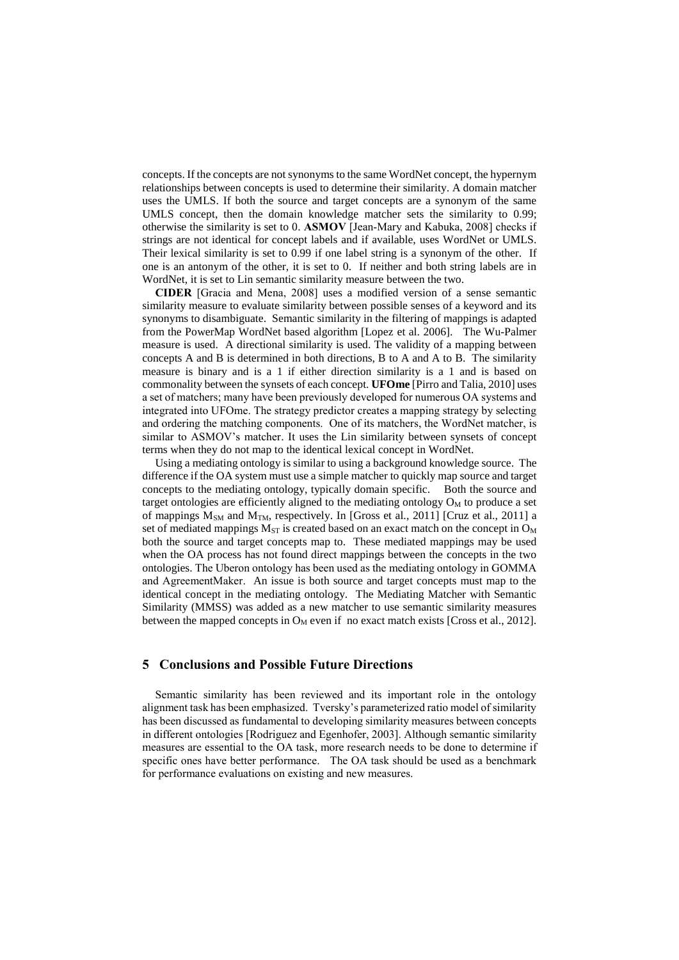concepts. If the concepts are not synonyms to the same WordNet concept, the hypernym relationships between concepts is used to determine their similarity. A domain matcher uses the UMLS. If both the source and target concepts are a synonym of the same UMLS concept, then the domain knowledge matcher sets the similarity to 0.99; otherwise the similarity is set to 0. **ASMOV** [Jean-Mary and Kabuka, 2008] checks if strings are not identical for concept labels and if available, uses WordNet or UMLS. Their lexical similarity is set to 0.99 if one label string is a synonym of the other. If one is an antonym of the other, it is set to 0. If neither and both string labels are in WordNet, it is set to Lin semantic similarity measure between the two.

**CIDER** [Gracia and Mena, 2008] uses a modified version of a sense semantic similarity measure to evaluate similarity between possible senses of a keyword and its synonyms to disambiguate. Semantic similarity in the filtering of mappings is adapted from the PowerMap WordNet based algorithm [Lopez et al. 2006]. The Wu-Palmer measure is used. A directional similarity is used. The validity of a mapping between concepts A and B is determined in both directions, B to A and A to B. The similarity measure is binary and is a 1 if either direction similarity is a 1 and is based on commonality between the synsets of each concept. **UFOme** [Pirro and Talia, 2010] uses a set of matchers; many have been previously developed for numerous OA systems and integrated into UFOme. The strategy predictor creates a mapping strategy by selecting and ordering the matching components. One of its matchers, the WordNet matcher, is similar to ASMOV's matcher. It uses the Lin similarity between synsets of concept terms when they do not map to the identical lexical concept in WordNet.

Using a mediating ontology is similar to using a background knowledge source. The difference if the OA system must use a simple matcher to quickly map source and target concepts to the mediating ontology, typically domain specific. Both the source and target ontologies are efficiently aligned to the mediating ontology  $O<sub>M</sub>$  to produce a set of mappings  $M<sub>SM</sub>$  and  $M<sub>TM</sub>$ , respectively. In [Gross et al., 2011] [Cruz et al., 2011] a set of mediated mappings  $M_{ST}$  is created based on an exact match on the concept in  $O_M$ both the source and target concepts map to. These mediated mappings may be used when the OA process has not found direct mappings between the concepts in the two ontologies. The Uberon ontology has been used as the mediating ontology in GOMMA and AgreementMaker. An issue is both source and target concepts must map to the identical concept in the mediating ontology. The Mediating Matcher with Semantic Similarity (MMSS) was added as a new matcher to use semantic similarity measures between the mapped concepts in  $O_M$  even if no exact match exists [Cross et al., 2012].

### **5 Conclusions and Possible Future Directions**

Semantic similarity has been reviewed and its important role in the ontology alignment task has been emphasized. Tversky's parameterized ratio model of similarity has been discussed as fundamental to developing similarity measures between concepts in different ontologies [Rodriguez and Egenhofer, 2003]. Although semantic similarity measures are essential to the OA task, more research needs to be done to determine if specific ones have better performance. The OA task should be used as a benchmark for performance evaluations on existing and new measures.